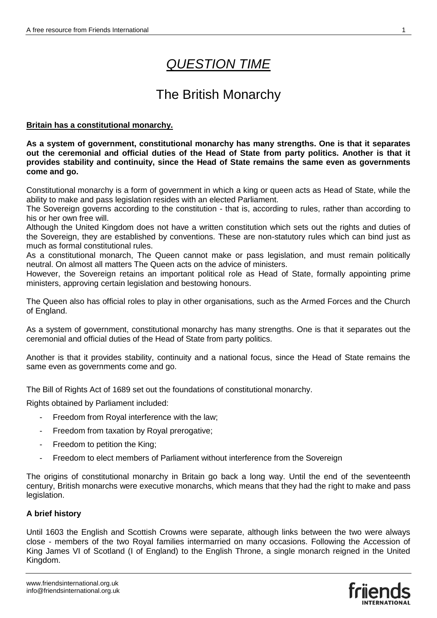# *QUESTION TIME*

## The British Monarchy

## **Britain has a constitutional monarchy.**

**As a system of government, constitutional monarchy has many strengths. One is that it separates out the ceremonial and official duties of the Head of State from party politics. Another is that it provides stability and continuity, since the Head of State remains the same even as governments come and go.**

Constitutional monarchy is a form of government in which a king or queen acts as Head of State, while the ability to make and pass legislation resides with an elected Parliament.

The Sovereign governs according to the constitution - that is, according to rules, rather than according to his or her own free will.

Although the United Kingdom does not have a written constitution which sets out the rights and duties of the Sovereign, they are established by conventions. These are non-statutory rules which can bind just as much as formal constitutional rules.

As a constitutional monarch, The Queen cannot make or pass legislation, and must remain politically neutral. On almost all matters The Queen acts on the advice of ministers.

However, the Sovereign retains an important political role as Head of State, formally appointing prime ministers, approving certain legislation and bestowing honours.

The Queen also has official roles to play in other organisations, such as the Armed Forces and the Church of England.

As a system of government, constitutional monarchy has many strengths. One is that it separates out the ceremonial and official duties of the Head of State from party politics.

Another is that it provides stability, continuity and a national focus, since the Head of State remains the same even as governments come and go.

The Bill of Rights Act of 1689 set out the foundations of constitutional monarchy.

Rights obtained by Parliament included:

- Freedom from Royal interference with the law;
- Freedom from taxation by Royal prerogative;
- Freedom to petition the King;
- Freedom to elect members of Parliament without interference from the Sovereign

The origins of constitutional monarchy in Britain go back a long way. Until the end of the seventeenth century, British monarchs were executive monarchs, which means that they had the right to make and pass legislation.

## **A brief history**

Until 1603 the English and Scottish Crowns were separate, although links between the two were always close - members of the two Royal families intermarried on many occasions. Following the Accession of King James VI of Scotland (I of England) to the English Throne, a single monarch reigned in the United Kingdom.

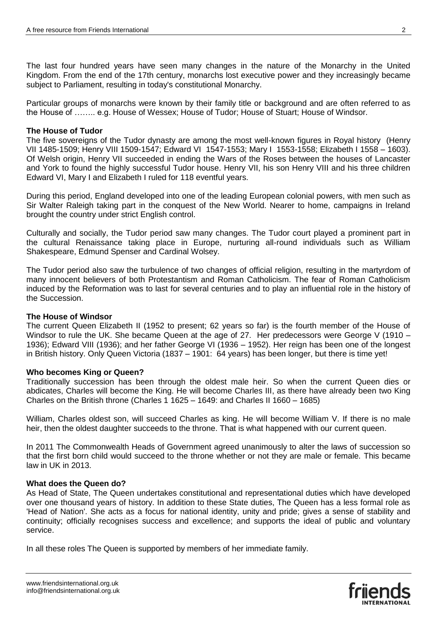The last four hundred years have seen many changes in the nature of the Monarchy in the United Kingdom. From the end of the 17th century, monarchs lost executive power and they increasingly became subject to Parliament, resulting in today's constitutional Monarchy.

Particular groups of monarchs were known by their family title or background and are often referred to as the House of …….. e.g. House of Wessex; House of Tudor; House of Stuart; House of Windsor.

#### **The House of Tudor**

The five sovereigns of the Tudor dynasty are among the most well-known figures in Royal history (Henry VII 1485-1509; Henry VIII 1509-1547; Edward VI 1547-1553; Mary I 1553-1558; Elizabeth I 1558 – 1603). Of Welsh origin, Henry VII succeeded in ending the Wars of the Roses between the houses of Lancaster and York to found the highly successful Tudor house. Henry VII, his son Henry VIII and his three children Edward VI, Mary I and Elizabeth I ruled for 118 eventful years.

During this period, England developed into one of the leading European colonial powers, with men such as Sir Walter Raleigh taking part in the conquest of the New World. Nearer to home, campaigns in Ireland brought the country under strict English control.

Culturally and socially, the Tudor period saw many changes. The Tudor court played a prominent part in the cultural Renaissance taking place in Europe, nurturing all-round individuals such as William Shakespeare, Edmund Spenser and Cardinal Wolsey.

The Tudor period also saw the turbulence of two changes of official religion, resulting in the martyrdom of many innocent believers of both Protestantism and Roman Catholicism. The fear of Roman Catholicism induced by the Reformation was to last for several centuries and to play an influential role in the history of the Succession.

### **The House of Windsor**

The current Queen Elizabeth II (1952 to present; 62 years so far) is the fourth member of the House of Windsor to rule the UK. She became Queen at the age of 27. Her predecessors were George V (1910 – 1936); Edward VIII (1936); and her father George VI (1936 – 1952). Her reign has been one of the longest in British history. Only Queen Victoria (1837 – 1901: 64 years) has been longer, but there is time yet!

#### **Who becomes King or Queen?**

Traditionally succession has been through the oldest male heir. So when the current Queen dies or abdicates, Charles will become the King. He will become Charles III, as there have already been two King Charles on the British throne (Charles 1 1625 – 1649: and Charles II 1660 – 1685)

William, Charles oldest son, will succeed Charles as king. He will become William V. If there is no male heir, then the oldest daughter succeeds to the throne. That is what happened with our current queen.

In 2011 The Commonwealth Heads of Government agreed unanimously to alter the laws of succession so that the first born child would succeed to the throne whether or not they are male or female. This became law in UK in 2013.

#### **What does the Queen do?**

As Head of State, The Queen undertakes constitutional and representational duties which have developed over one thousand years of history. In addition to these State duties, The Queen has a less formal role as 'Head of Nation'. She acts as a focus for national identity, unity and pride; gives a sense of stability and continuity; officially recognises success and excellence; and supports the ideal of public and voluntary service.

In all these roles The Queen is supported by members of her immediate family.